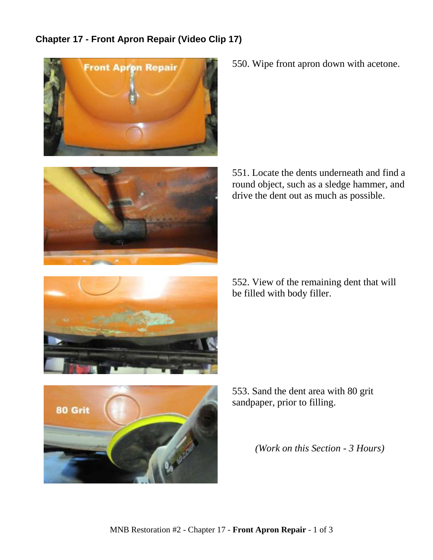## **Chapter 17 - Front Apron Repair (Video Clip 17)**





550. Wipe front apron down with acetone.

551. Locate the dents underneath and find a round object, such as a sledge hammer, and drive the dent out as much as possible.

552. View of the remaining dent that will be filled with body filler.





553. Sand the dent area with 80 grit sandpaper, prior to filling.

*(Work on this Section - 3 Hours)*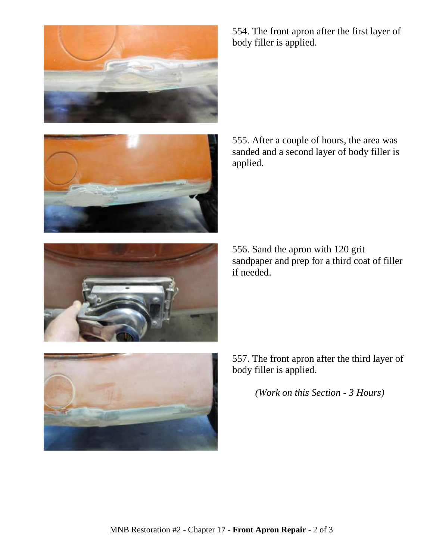





555. After a couple of hours, the area was sanded and a second layer of body filler is applied.

556. Sand the apron with 120 grit sandpaper and prep for a third coat of filler if needed.



557. The front apron after the third layer of body filler is applied.

*(Work on this Section - 3 Hours)*